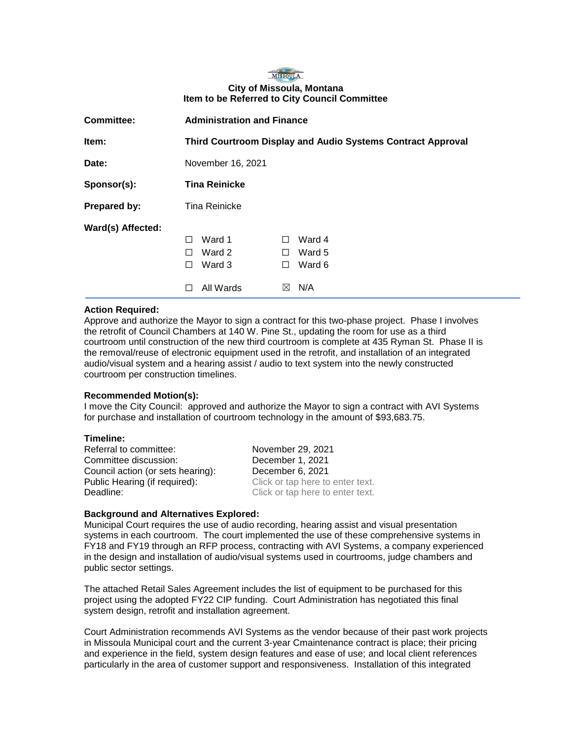# MISSOULA **City of Missoula, Montana Item to be Referred to City Council Committee**

| <b>Committee:</b> | <b>Administration and Finance</b>                                  |                                                                           |
|-------------------|--------------------------------------------------------------------|---------------------------------------------------------------------------|
| Item:             | <b>Third Courtroom Display and Audio Systems Contract Approval</b> |                                                                           |
| Date:             | November 16, 2021                                                  |                                                                           |
| Sponsor(s):       | <b>Tina Reinicke</b>                                               |                                                                           |
| Prepared by:      | Tina Reinicke                                                      |                                                                           |
| Ward(s) Affected: | Ward 1<br>П<br>Ward 2<br>$\mathsf{L}$<br>Ward 3<br>П<br>All Wards  | Ward 4<br>$\perp$<br>Ward 5<br>$\perp$<br>Ward 6<br>⊔<br>N/A<br>$\bowtie$ |

## **Action Required:**

Approve and authorize the Mayor to sign a contract for this two-phase project. Phase I involves the retrofit of Council Chambers at 140 W. Pine St., updating the room for use as a third courtroom until construction of the new third courtroom is complete at 435 Ryman St. Phase II is the removal/reuse of electronic equipment used in the retrofit, and installation of an integrated audio/visual system and a hearing assist / audio to text system into the newly constructed courtroom per construction timelines.

## **Recommended Motion(s):**

I move the City Council: approved and authorize the Mayor to sign a contract with AVI Systems for purchase and installation of courtroom technology in the amount of \$93,683.75.

#### **Timeline:**

Referral to committee: November 29, 2021 Committee discussion: December 1, 2021 Council action (or sets hearing): December 6, 2021 Public Hearing (if required): Click or tap here to enter text. Deadline: Deadline: Click or tap here to enter text.

## **Background and Alternatives Explored:**

Municipal Court requires the use of audio recording, hearing assist and visual presentation systems in each courtroom. The court implemented the use of these comprehensive systems in FY18 and FY19 through an RFP process, contracting with AVI Systems, a company experienced in the design and installation of audio/visual systems used in courtrooms, judge chambers and public sector settings.

The attached Retail Sales Agreement includes the list of equipment to be purchased for this project using the adopted FY22 CIP funding. Court Administration has negotiated this final system design, retrofit and installation agreement.

Court Administration recommends AVI Systems as the vendor because of their past work projects in Missoula Municipal court and the current 3-year Cmaintenance contract is place; their pricing and experience in the field, system design features and ease of use; and local client references particularly in the area of customer support and responsiveness. Installation of this integrated